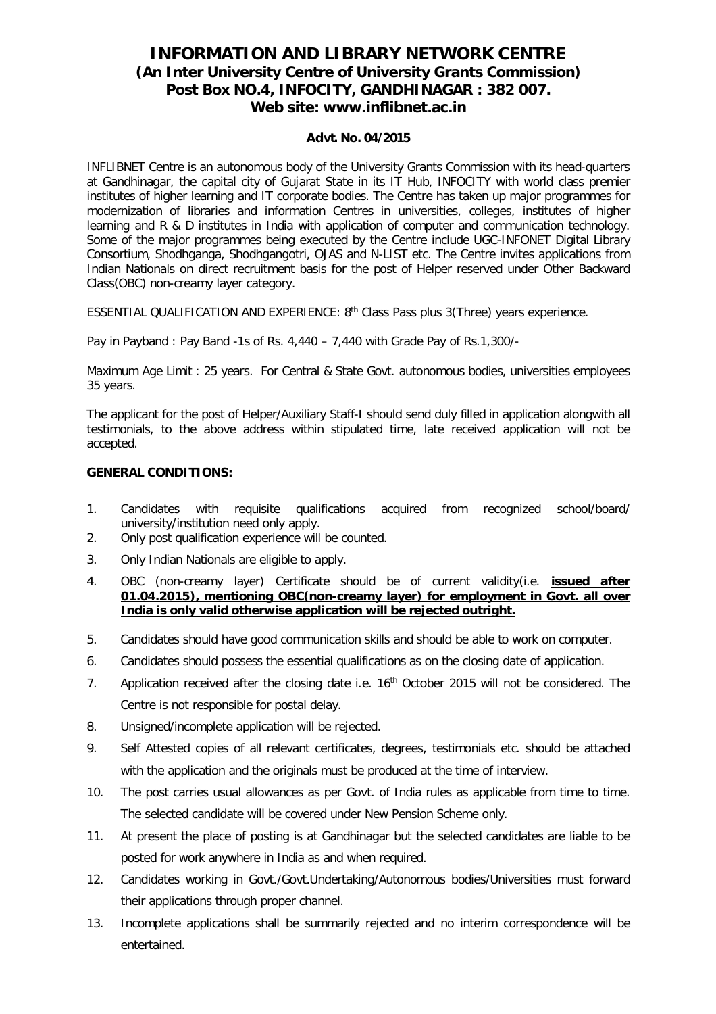# **INFORMATION AND LIBRARY NETWORK CENTRE (An Inter University Centre of University Grants Commission) Post Box NO.4, INFOCITY, GANDHINAGAR : 382 007. Web site: www.inflibnet.ac.in**

#### **Advt. No. 04/2015**

INFLIBNET Centre is an autonomous body of the University Grants Commission with its head-quarters at Gandhinagar, the capital city of Gujarat State in its IT Hub, INFOCITY with world class premier institutes of higher learning and IT corporate bodies. The Centre has taken up major programmes for modernization of libraries and information Centres in universities, colleges, institutes of higher learning and R & D institutes in India with application of computer and communication technology. Some of the major programmes being executed by the Centre include UGC-INFONET Digital Library Consortium, Shodhganga, Shodhgangotri, OJAS and N-LIST etc. The Centre invites applications from Indian Nationals on direct recruitment basis for the post of Helper reserved under Other Backward Class(OBC) non-creamy layer category.

ESSENTIAL QUALIFICATION AND EXPERIENCE:  $8<sup>th</sup>$  Class Pass plus 3(Three) years experience.

Pay in Payband : Pay Band -1s of Rs. 4,440 – 7,440 with Grade Pay of Rs.1,300/-

Maximum Age Limit : 25 years. For Central & State Govt. autonomous bodies, universities employees 35 years.

The applicant for the post of Helper/Auxiliary Staff-I should send duly filled in application alongwith all testimonials, to the above address within stipulated time, late received application will not be accepted.

#### **GENERAL CONDITIONS:**

- 1. Candidates with requisite qualifications acquired from recognized school/board/ university/institution need only apply.
- 2. Only post qualification experience will be counted.
- 3. Only Indian Nationals are eligible to apply.
- 4. OBC (non-creamy layer) Certificate should be of current validity(i.e. **issued after 01.04.2015), mentioning OBC(non-creamy layer) for employment in Govt. all over India is only valid otherwise application will be rejected outright.**
- 5. Candidates should have good communication skills and should be able to work on computer.
- 6. Candidates should possess the essential qualifications as on the closing date of application.
- 7. Application received after the closing date i.e. 16<sup>th</sup> October 2015 will not be considered. The Centre is not responsible for postal delay.
- 8. Unsigned/incomplete application will be rejected.
- 9. Self Attested copies of all relevant certificates, degrees, testimonials etc. should be attached with the application and the originals must be produced at the time of interview.
- 10. The post carries usual allowances as per Govt. of India rules as applicable from time to time. The selected candidate will be covered under New Pension Scheme only.
- 11. At present the place of posting is at Gandhinagar but the selected candidates are liable to be posted for work anywhere in India as and when required.
- 12. Candidates working in Govt./Govt.Undertaking/Autonomous bodies/Universities must forward their applications through proper channel.
- 13. Incomplete applications shall be summarily rejected and no interim correspondence will be entertained.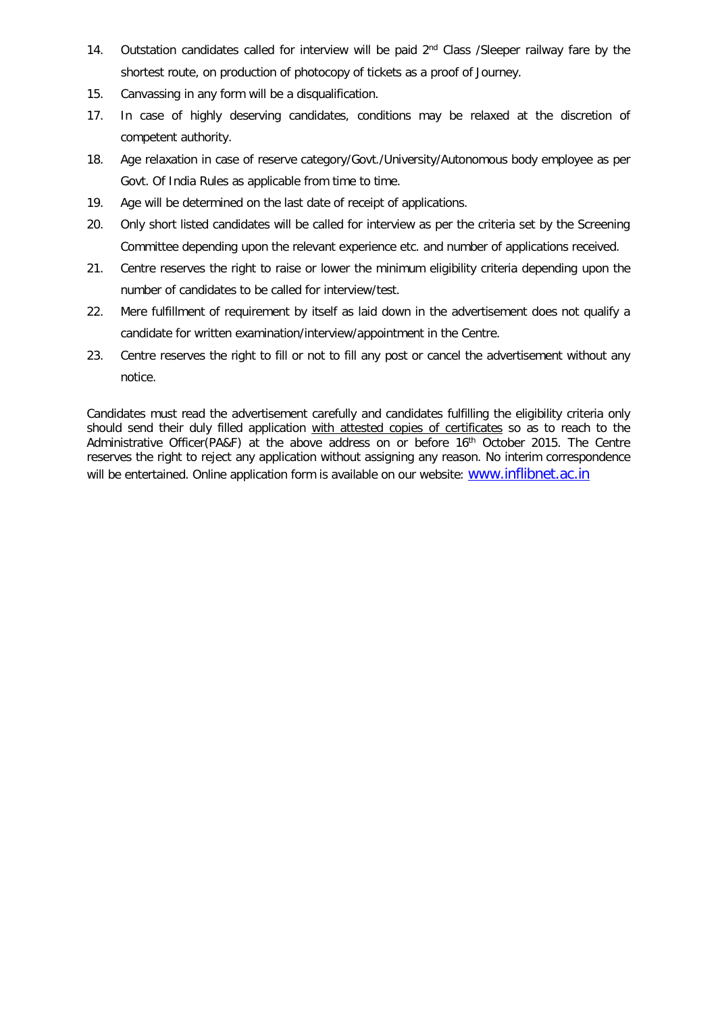- 14. Outstation candidates called for interview will be paid  $2<sup>nd</sup>$  Class /Sleeper railway fare by the shortest route, on production of photocopy of tickets as a proof of Journey.
- 15. Canvassing in any form will be a disqualification.
- 17. In case of highly deserving candidates, conditions may be relaxed at the discretion of competent authority.
- 18. Age relaxation in case of reserve category/Govt./University/Autonomous body employee as per Govt. Of India Rules as applicable from time to time.
- 19. Age will be determined on the last date of receipt of applications.
- 20. Only short listed candidates will be called for interview as per the criteria set by the Screening Committee depending upon the relevant experience etc. and number of applications received.
- 21. Centre reserves the right to raise or lower the minimum eligibility criteria depending upon the number of candidates to be called for interview/test.
- 22. Mere fulfillment of requirement by itself as laid down in the advertisement does not qualify a candidate for written examination/interview/appointment in the Centre.
- 23. Centre reserves the right to fill or not to fill any post or cancel the advertisement without any notice.

Candidates must read the advertisement carefully and candidates fulfilling the eligibility criteria only should send their duly filled application with attested copies of certificates so as to reach to the Administrative Officer(PA&F) at the above address on or before 16th October 2015. The Centre reserves the right to reject any application without assigning any reason. No interim correspondence will be entertained. Online application form is available on our website: www.inflibnet.ac.in